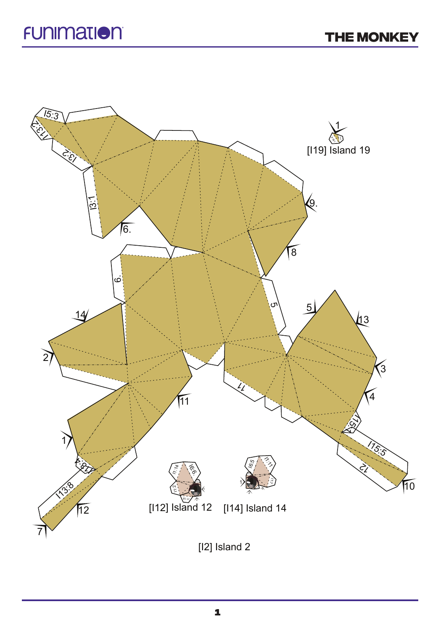

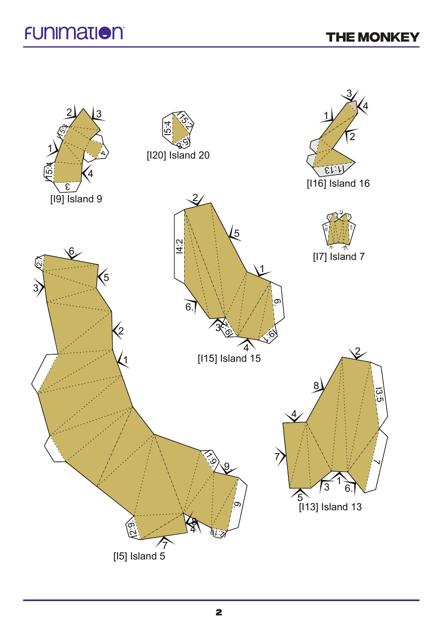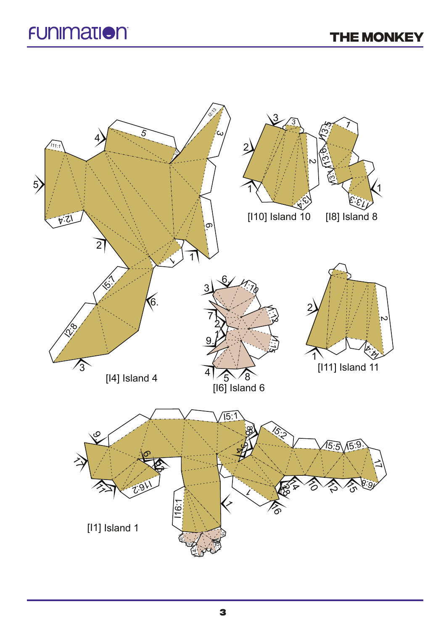